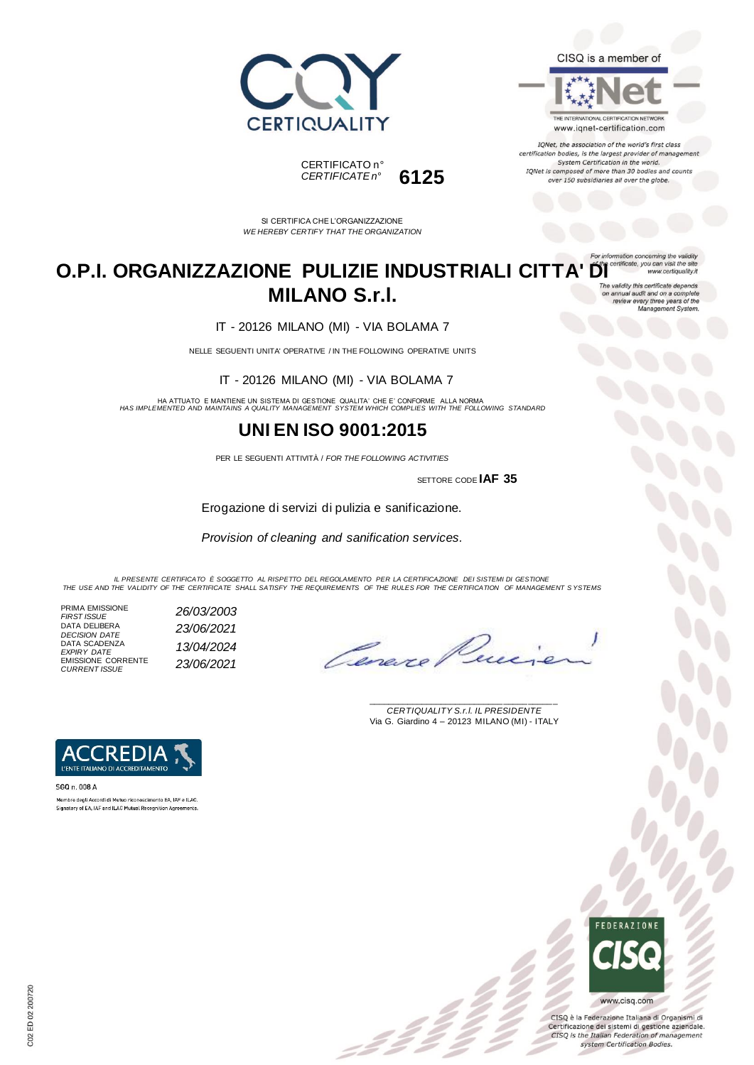



IQNet, the association of the world's first class certification bodies, is the largest provider of management System Certification in the world. IQNet is composed of more than 30 bodies and counts over 150 subsidiaries all over the globe.





SI CERTIFICA CHE L'ORGANIZZAZIONE *WE HEREBY CERTIFY THAT THE ORGANIZATION*

#### **O.P.I. ORGANIZZAZIONE PULIZIE INDUSTRIALI CITTA' DI CONTIFICAC** www.certiquality.it **MILANO S.r.l.** on annual audit and on a complete<br>review every three years of the<br>Management System.

IT - 20126 MILANO (MI) - VIA BOLAMA 7

NELLE SEGUENTI UNITA' OPERATIVE / IN THE FOLLOWING OPERATIVE UNITS

IT - 20126 MILANO (MI) - VIA BOLAMA 7

HA ATTUATO E MANTIENE UN SISTEMA DI GESTIONE QUALITA' CHE E' CONFORME ALLA NORMA *HAS IMPLEMENTED AND MAINTAINS A QUALITY MANAGEMENT SYSTEM WHICH COMPLIES WITH THE FOLLOWING STANDARD*

### **UNI EN ISO 9001:2015**

PER LE SEGUENTI ATTIVITÀ / *FOR THE FOLLOWING ACTIVITIES*

SETTORE CODE **IAF 35**

Erogazione di servizi di pulizia e sanificazione.

*Provision of cleaning and sanification services.*

*IL PRESENTE CERTIFICATO È SOGGETTO AL RISPETTO DEL REGOLAMENTO PER LA CERTIFICAZIONE DEI SISTEMI DI GESTIONE THE USE AND THE VALIDITY OF THE CERTIFICATE SHALL SATISFY THE REQUIREMENTS OF THE RULES FOR THE CERTIFICATION OF MANAGEMENT S YSTEMS*

 $\mathcal{L}$ 

PRIMA EMISSIONE *FIRST ISSUE 26/03/2003* DATA DELIBERA *DECISION DATE 23/06/2021* DATA SCADENZA *EXPIRY DATE 13/04/2024* EMISSIONE CORRENTE *CURRENT ISSUE 23/06/2021*

Cenere

\_\_\_\_\_\_\_\_\_\_\_\_\_\_\_\_\_\_\_\_\_\_\_\_\_\_\_\_\_\_\_\_\_\_\_\_\_\_\_ *CERTIQUALITY S.r.l. IL PRESIDENTE* Via G. Giardino 4 – 20123 MILANO (MI) - ITALY



SGQ n 008 A Membro degli Accordi di Mutuo riconoscimento EA, IAF e ILAC Signatory of EA, IAF and ILAC Mutual Recognition Agreements.



CISQ è la Federazione Italiana di Organismi di Certificazione dei sistemi di gestione aziendale. CISQ is the Italian Federation of management system Certification Bodies.